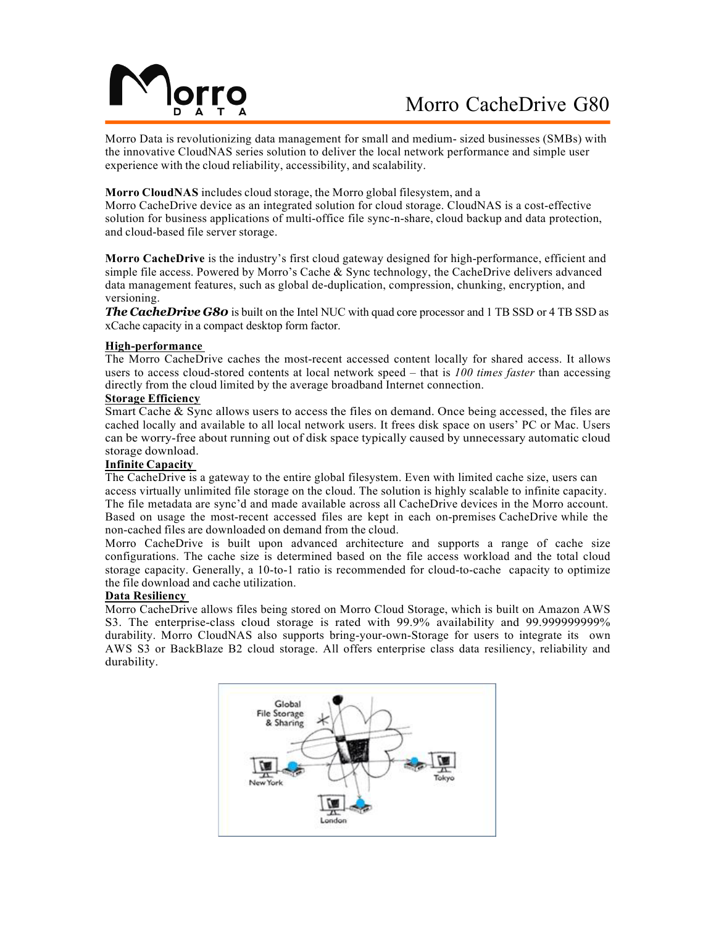

Morro Data is revolutionizing data management for small and medium- sized businesses (SMBs) with the innovative CloudNAS series solution to deliver the local network performance and simple user experience with the cloud reliability, accessibility, and scalability.

## **Morro CloudNAS** includes cloud storage, the Morro global filesystem, and a

Morro CacheDrive device as an integrated solution for cloud storage. CloudNAS is a cost-effective solution for business applications of multi-office file sync-n-share, cloud backup and data protection, and cloud-based file server storage.

**Morro CacheDrive** is the industry's first cloud gateway designed for high-performance, efficient and simple file access. Powered by Morro's Cache & Sync technology, the CacheDrive delivers advanced data management features, such as global de-duplication, compression, chunking, encryption, and versioning.

*The CacheDrive G80* is built on the Intel NUC with quad core processor and 1 TB SSD or 4 TB SSD as xCache capacity in a compact desktop form factor.

## **High-performance**

The Morro CacheDrive caches the most-recent accessed content locally for shared access. It allows users to access cloud-stored contents at local network speed – that is *100 times faster* than accessing directly from the cloud limited by the average broadband Internet connection.

#### **Storage Efficiency**

Smart Cache & Sync allows users to access the files on demand. Once being accessed, the files are cached locally and available to all local network users. It frees disk space on users' PC or Mac. Users can be worry-free about running out of disk space typically caused by unnecessary automatic cloud storage download.

### **Infinite Capacity**

The CacheDrive is a gateway to the entire global filesystem. Even with limited cache size, users can access virtually unlimited file storage on the cloud. The solution is highly scalable to infinite capacity.

The file metadata are sync'd and made available across all CacheDrive devices in the Morro account. Based on usage the most-recent accessed files are kept in each on-premises CacheDrive while the non-cached files are downloaded on demand from the cloud.

Morro CacheDrive is built upon advanced architecture and supports a range of cache size configurations. The cache size is determined based on the file access workload and the total cloud storage capacity. Generally, a 10-to-1 ratio is recommended for cloud-to-cache capacity to optimize the file download and cache utilization.

#### **Data Resiliency**

Morro CacheDrive allows files being stored on Morro Cloud Storage, which is built on Amazon AWS S3. The enterprise-class cloud storage is rated with 99.9% availability and 99.999999999% durability. Morro CloudNAS also supports bring-your-own-Storage for users to integrate its own AWS S3 or BackBlaze B2 cloud storage. All offers enterprise class data resiliency, reliability and durability.